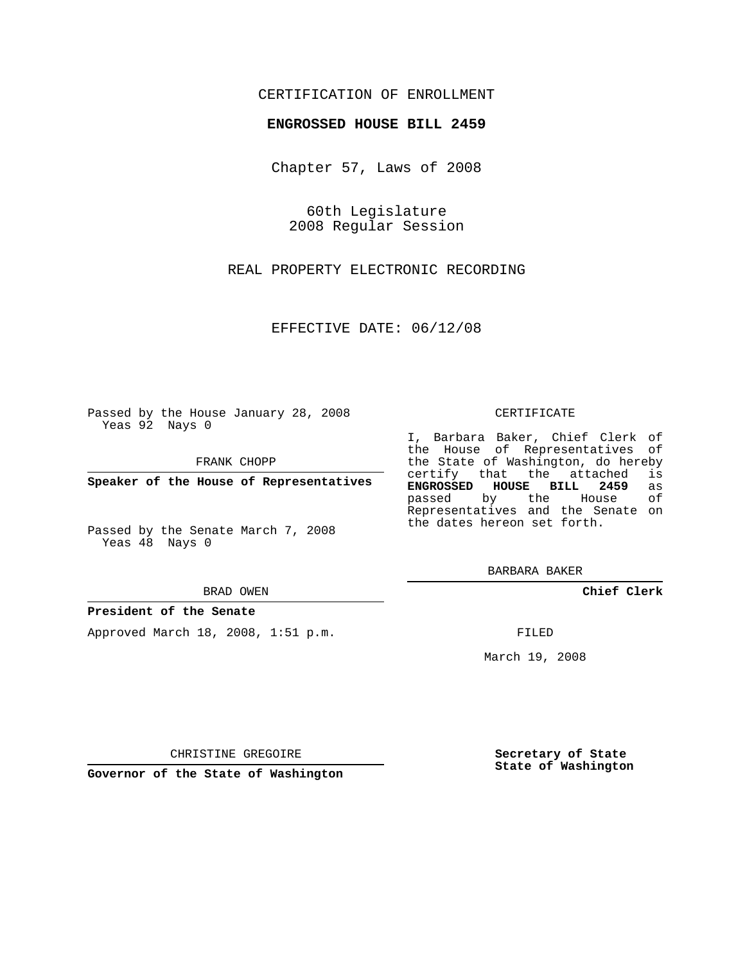# CERTIFICATION OF ENROLLMENT

## **ENGROSSED HOUSE BILL 2459**

Chapter 57, Laws of 2008

60th Legislature 2008 Regular Session

REAL PROPERTY ELECTRONIC RECORDING

EFFECTIVE DATE: 06/12/08

Passed by the House January 28, 2008 Yeas 92 Nays 0

FRANK CHOPP

**Speaker of the House of Representatives**

Passed by the Senate March 7, 2008 Yeas 48 Nays 0

#### BRAD OWEN

### **President of the Senate**

Approved March 18, 2008, 1:51 p.m.

#### CERTIFICATE

I, Barbara Baker, Chief Clerk of the House of Representatives of the State of Washington, do hereby certify that the attached is **ENGROSSED HOUSE BILL 2459** as passed by the House of Representatives and the Senate on the dates hereon set forth.

BARBARA BAKER

**Chief Clerk**

FILED

March 19, 2008

CHRISTINE GREGOIRE

**Governor of the State of Washington**

**Secretary of State State of Washington**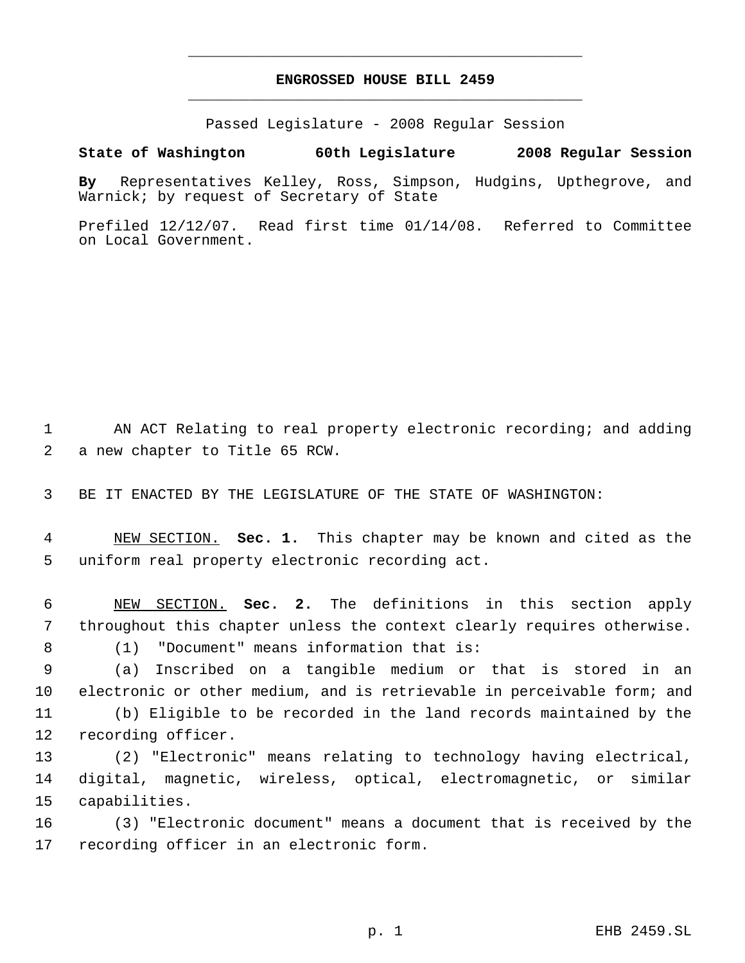# **ENGROSSED HOUSE BILL 2459** \_\_\_\_\_\_\_\_\_\_\_\_\_\_\_\_\_\_\_\_\_\_\_\_\_\_\_\_\_\_\_\_\_\_\_\_\_\_\_\_\_\_\_\_\_

\_\_\_\_\_\_\_\_\_\_\_\_\_\_\_\_\_\_\_\_\_\_\_\_\_\_\_\_\_\_\_\_\_\_\_\_\_\_\_\_\_\_\_\_\_

Passed Legislature - 2008 Regular Session

**State of Washington 60th Legislature 2008 Regular Session**

**By** Representatives Kelley, Ross, Simpson, Hudgins, Upthegrove, and Warnick; by request of Secretary of State

Prefiled 12/12/07. Read first time 01/14/08. Referred to Committee on Local Government.

 AN ACT Relating to real property electronic recording; and adding a new chapter to Title 65 RCW.

BE IT ENACTED BY THE LEGISLATURE OF THE STATE OF WASHINGTON:

 NEW SECTION. **Sec. 1.** This chapter may be known and cited as the uniform real property electronic recording act.

 NEW SECTION. **Sec. 2.** The definitions in this section apply throughout this chapter unless the context clearly requires otherwise.

(1) "Document" means information that is:

 (a) Inscribed on a tangible medium or that is stored in an electronic or other medium, and is retrievable in perceivable form; and (b) Eligible to be recorded in the land records maintained by the recording officer.

 (2) "Electronic" means relating to technology having electrical, digital, magnetic, wireless, optical, electromagnetic, or similar capabilities.

 (3) "Electronic document" means a document that is received by the recording officer in an electronic form.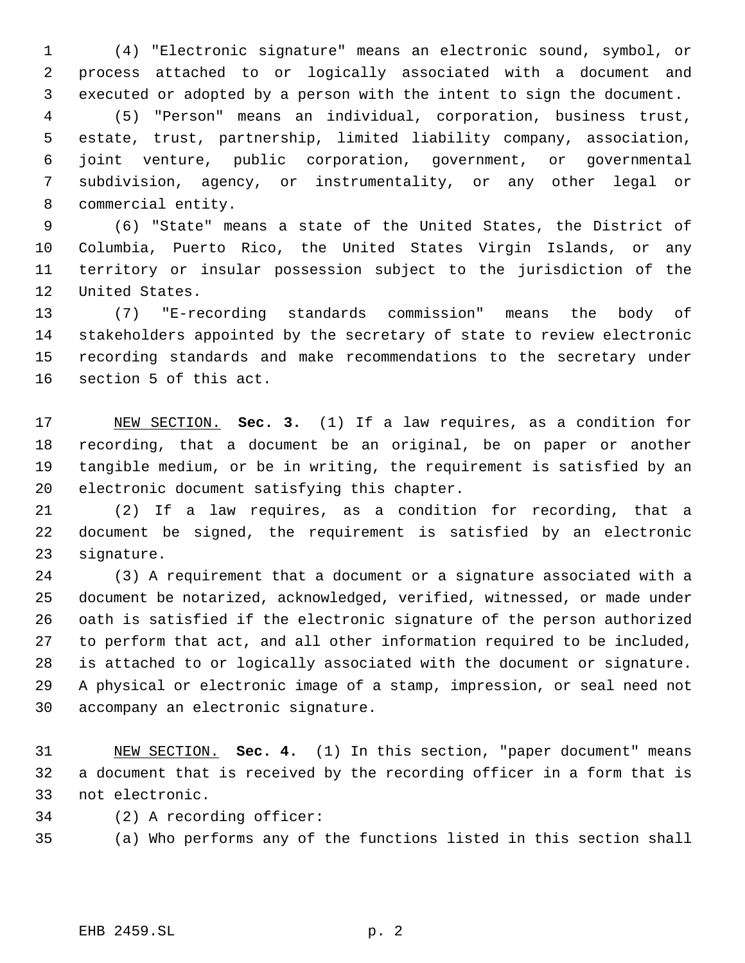(4) "Electronic signature" means an electronic sound, symbol, or process attached to or logically associated with a document and executed or adopted by a person with the intent to sign the document. (5) "Person" means an individual, corporation, business trust, estate, trust, partnership, limited liability company, association,

 joint venture, public corporation, government, or governmental subdivision, agency, or instrumentality, or any other legal or commercial entity.

 (6) "State" means a state of the United States, the District of Columbia, Puerto Rico, the United States Virgin Islands, or any territory or insular possession subject to the jurisdiction of the United States.

 (7) "E-recording standards commission" means the body of stakeholders appointed by the secretary of state to review electronic recording standards and make recommendations to the secretary under section 5 of this act.

 NEW SECTION. **Sec. 3.** (1) If a law requires, as a condition for recording, that a document be an original, be on paper or another tangible medium, or be in writing, the requirement is satisfied by an electronic document satisfying this chapter.

 (2) If a law requires, as a condition for recording, that a document be signed, the requirement is satisfied by an electronic signature.

 (3) A requirement that a document or a signature associated with a document be notarized, acknowledged, verified, witnessed, or made under oath is satisfied if the electronic signature of the person authorized to perform that act, and all other information required to be included, is attached to or logically associated with the document or signature. A physical or electronic image of a stamp, impression, or seal need not accompany an electronic signature.

 NEW SECTION. **Sec. 4.** (1) In this section, "paper document" means a document that is received by the recording officer in a form that is not electronic.

(2) A recording officer:

(a) Who performs any of the functions listed in this section shall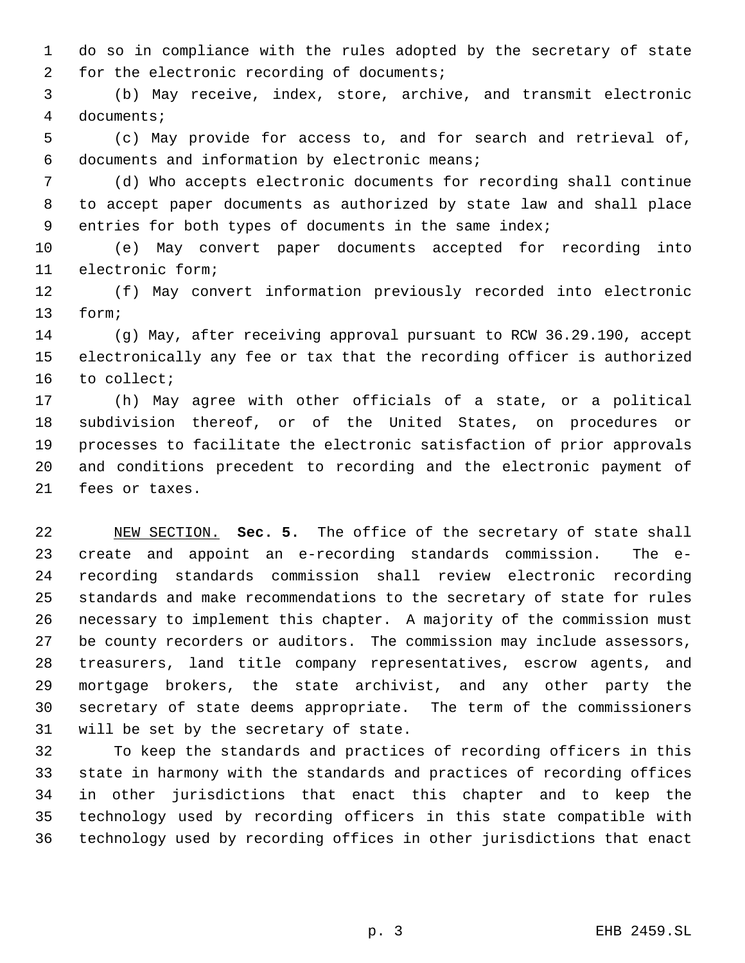do so in compliance with the rules adopted by the secretary of state for the electronic recording of documents;

 (b) May receive, index, store, archive, and transmit electronic documents;

 (c) May provide for access to, and for search and retrieval of, documents and information by electronic means;

 (d) Who accepts electronic documents for recording shall continue to accept paper documents as authorized by state law and shall place entries for both types of documents in the same index;

 (e) May convert paper documents accepted for recording into electronic form;

 (f) May convert information previously recorded into electronic form;

 (g) May, after receiving approval pursuant to RCW 36.29.190, accept electronically any fee or tax that the recording officer is authorized to collect;

 (h) May agree with other officials of a state, or a political subdivision thereof, or of the United States, on procedures or processes to facilitate the electronic satisfaction of prior approvals and conditions precedent to recording and the electronic payment of fees or taxes.

 NEW SECTION. **Sec. 5.** The office of the secretary of state shall create and appoint an e-recording standards commission. The e- recording standards commission shall review electronic recording standards and make recommendations to the secretary of state for rules necessary to implement this chapter. A majority of the commission must be county recorders or auditors. The commission may include assessors, treasurers, land title company representatives, escrow agents, and mortgage brokers, the state archivist, and any other party the secretary of state deems appropriate. The term of the commissioners will be set by the secretary of state.

 To keep the standards and practices of recording officers in this state in harmony with the standards and practices of recording offices in other jurisdictions that enact this chapter and to keep the technology used by recording officers in this state compatible with technology used by recording offices in other jurisdictions that enact